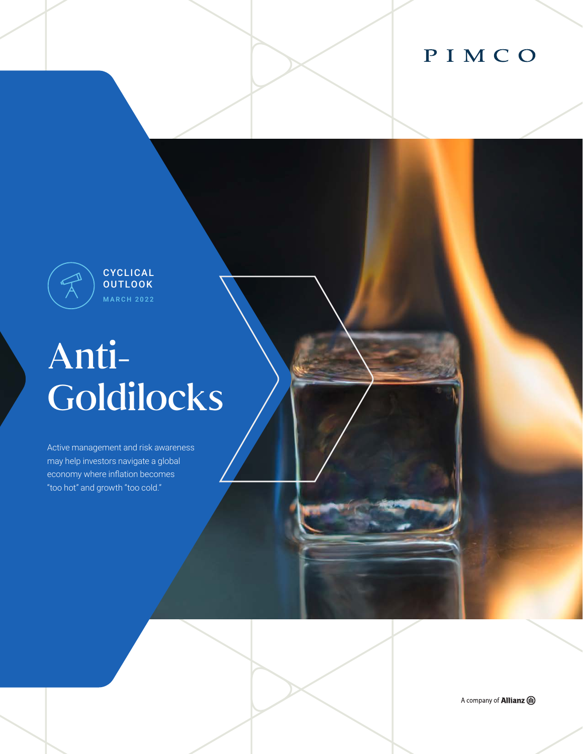# PIMCO

**CYCLICAL** OUTLOOK

# Anti-Goldilocks

Active management and risk awareness may help investors navigate a global economy where inflation becomes "too hot" and growth "too cold."

A company of **Allianz** (1)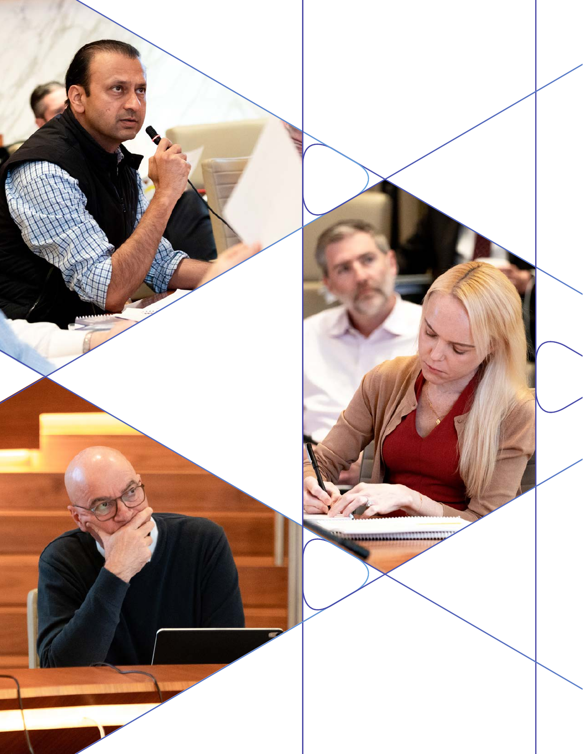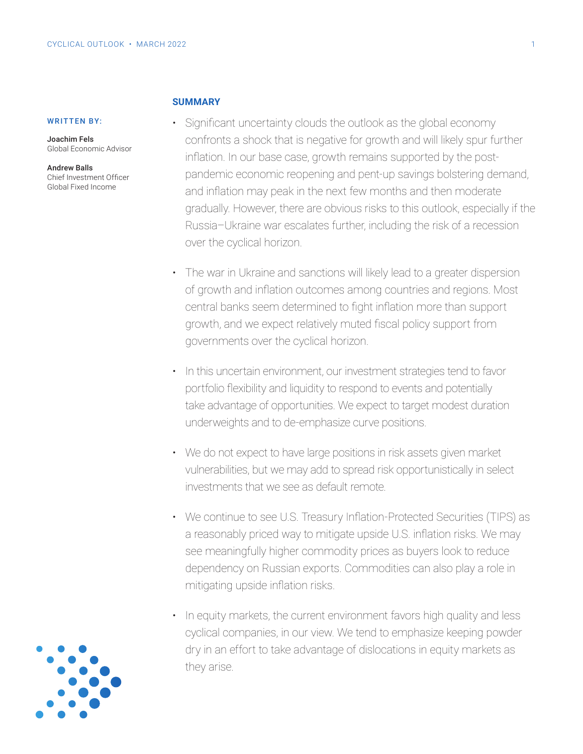#### WRITTEN BY:

Joachim Fels Global Economic Advisor

Andrew Balls Chief Investment Officer Global Fixed Income

## **SUMMARY**

- Significant uncertainty clouds the outlook as the global economy confronts a shock that is negative for growth and will likely spur further inflation. In our base case, growth remains supported by the postpandemic economic reopening and pent-up savings bolstering demand, and inflation may peak in the next few months and then moderate gradually. However, there are obvious risks to this outlook, especially if the Russia–Ukraine war escalates further, including the risk of a recession over the cyclical horizon.
- The war in Ukraine and sanctions will likely lead to a greater dispersion of growth and inflation outcomes among countries and regions. Most central banks seem determined to fight inflation more than support growth, and we expect relatively muted fiscal policy support from governments over the cyclical horizon.
- In this uncertain environment, our investment strategies tend to favor portfolio flexibility and liquidity to respond to events and potentially take advantage of opportunities. We expect to target modest duration underweights and to de-emphasize curve positions.
- We do not expect to have large positions in risk assets given market vulnerabilities, but we may add to spread risk opportunistically in select investments that we see as default remote.
- We continue to see U.S. Treasury Inflation-Protected Securities (TIPS) as a reasonably priced way to mitigate upside U.S. inflation risks. We may see meaningfully higher commodity prices as buyers look to reduce dependency on Russian exports. Commodities can also play a role in mitigating upside inflation risks.
- In equity markets, the current environment favors high quality and less cyclical companies, in our view. We tend to emphasize keeping powder dry in an effort to take advantage of dislocations in equity markets as they arise.

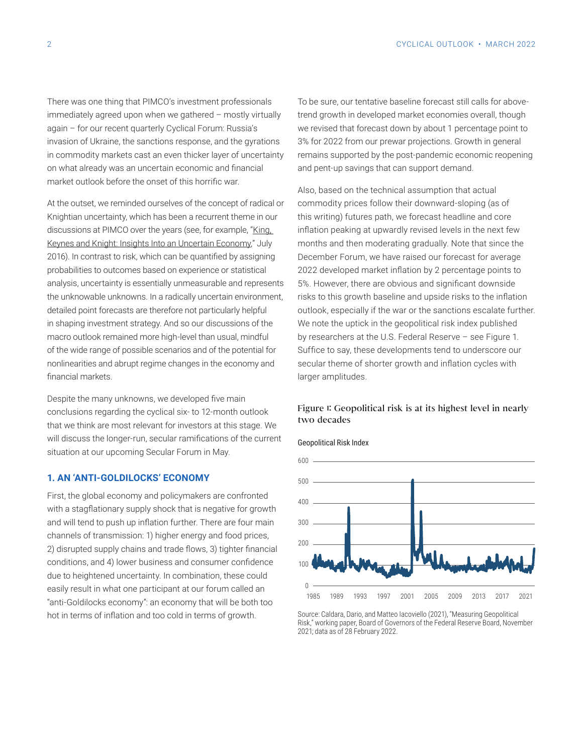There was one thing that PIMCO's investment professionals immediately agreed upon when we gathered – mostly virtually again – for our recent quarterly Cyclical Forum: Russia's invasion of Ukraine, the sanctions response, and the gyrations in commodity markets cast an even thicker layer of uncertainty on what already was an uncertain economic and financial market outlook before the onset of this horrific war.

At the outset, we reminded ourselves of the concept of radical or Knightian uncertainty, which has been a recurrent theme in our discussions at PIMCO over the years (see, for example, "King, Keynes and Knight: Insights Into an Uncertain Economy," July 2016). In contrast to risk, which can be quantified by assigning probabilities to outcomes based on experience or statistical analysis, uncertainty is essentially unmeasurable and represents the unknowable unknowns. In a radically uncertain environment, detailed point forecasts are therefore not particularly helpful in shaping investment strategy. And so our discussions of the macro outlook remained more high-level than usual, mindful of the wide range of possible scenarios and of the potential for nonlinearities and abrupt regime changes in the economy and financial markets.

Despite the many unknowns, we developed five main conclusions regarding the cyclical six- to 12-month outlook that we think are most relevant for investors at this stage. We will discuss the longer-run, secular ramifications of the current situation at our upcoming Secular Forum in May.

#### **1. AN 'ANTI-GOLDILOCKS' ECONOMY**

First, the global economy and policymakers are confronted with a stagflationary supply shock that is negative for growth and will tend to push up inflation further. There are four main channels of transmission: 1) higher energy and food prices, 2) disrupted supply chains and trade flows, 3) tighter financial conditions, and 4) lower business and consumer confidence due to heightened uncertainty. In combination, these could easily result in what one participant at our forum called an "anti-Goldilocks economy": an economy that will be both too hot in terms of inflation and too cold in terms of growth.

To be sure, our tentative baseline forecast still calls for abovetrend growth in developed market economies overall, though we revised that forecast down by about 1 percentage point to 3% for 2022 from our prewar projections. Growth in general remains supported by the post-pandemic economic reopening and pent-up savings that can support demand.

Also, based on the technical assumption that actual commodity prices follow their downward-sloping (as of this writing) futures path, we forecast headline and core inflation peaking at upwardly revised levels in the next few months and then moderating gradually. Note that since the December Forum, we have raised our forecast for average 2022 developed market inflation by 2 percentage points to 5%. However, there are obvious and significant downside risks to this growth baseline and upside risks to the inflation outlook, especially if the war or the sanctions escalate further. We note the uptick in the geopolitical risk index published by researchers at the U.S. Federal Reserve – see Figure 1. Suffice to say, these developments tend to underscore our secular theme of shorter growth and inflation cycles with larger amplitudes.

#### Figure 1: Geopolitical risk is at its highest level in nearly two decades



#### Geopolitical Risk Index

Source: Caldara, Dario, and Matteo Iacoviello (2021), "Measuring Geopolitical Risk," working paper, Board of Governors of the Federal Reserve Board, November 2021; data as of 28 February 2022.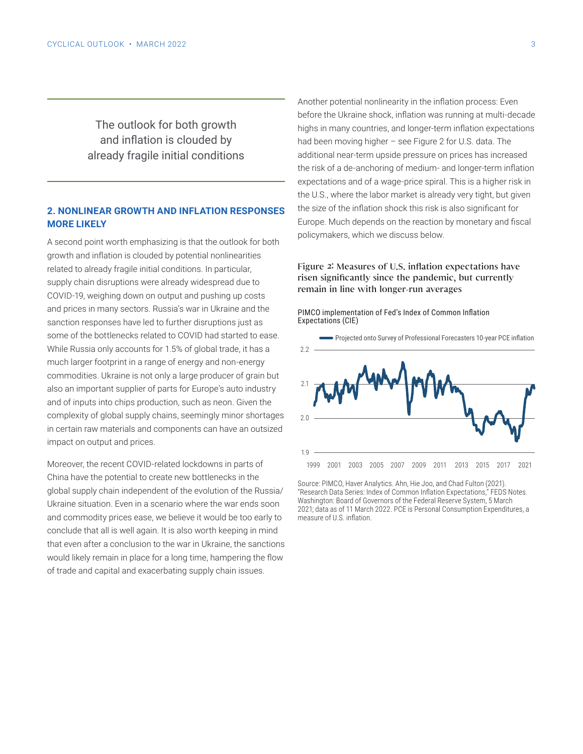The outlook for both growth and inflation is clouded by already fragile initial conditions

#### **2. NONLINEAR GROWTH AND INFLATION RESPONSES MORE LIKELY**

A second point worth emphasizing is that the outlook for both growth and inflation is clouded by potential nonlinearities related to already fragile initial conditions. In particular, supply chain disruptions were already widespread due to COVID-19, weighing down on output and pushing up costs and prices in many sectors. Russia's war in Ukraine and the sanction responses have led to further disruptions just as some of the bottlenecks related to COVID had started to ease. While Russia only accounts for 1.5% of global trade, it has a much larger footprint in a range of energy and non-energy commodities. Ukraine is not only a large producer of grain but also an important supplier of parts for Europe's auto industry and of inputs into chips production, such as neon. Given the complexity of global supply chains, seemingly minor shortages in certain raw materials and components can have an outsized impact on output and prices.

Moreover, the recent COVID-related lockdowns in parts of China have the potential to create new bottlenecks in the global supply chain independent of the evolution of the Russia/ Ukraine situation. Even in a scenario where the war ends soon and commodity prices ease, we believe it would be too early to conclude that all is well again. It is also worth keeping in mind that even after a conclusion to the war in Ukraine, the sanctions would likely remain in place for a long time, hampering the flow of trade and capital and exacerbating supply chain issues.

Another potential nonlinearity in the inflation process: Even before the Ukraine shock, inflation was running at multi-decade highs in many countries, and longer-term inflation expectations had been moving higher – see Figure 2 for U.S. data. The additional near-term upside pressure on prices has increased the risk of a de-anchoring of medium- and longer-term inflation expectations and of a wage-price spiral. This is a higher risk in the U.S., where the labor market is already very tight, but given the size of the inflation shock this risk is also significant for Europe. Much depends on the reaction by monetary and fiscal policymakers, which we discuss below.

#### Figure 2: Measures of U.S. inflation expectations have risen significantly since the pandemic, but currently remain in line with longer-run averages





Source: PIMCO, Haver Analytics. Ahn, Hie Joo, and Chad Fulton (2021). "Research Data Series: Index of Common Inflation Expectations," FEDS Notes. Washington: Board of Governors of the Federal Reserve System, 5 March 2021; data as of 11 March 2022. PCE is Personal Consumption Expenditures, a measure of U.S. inflation.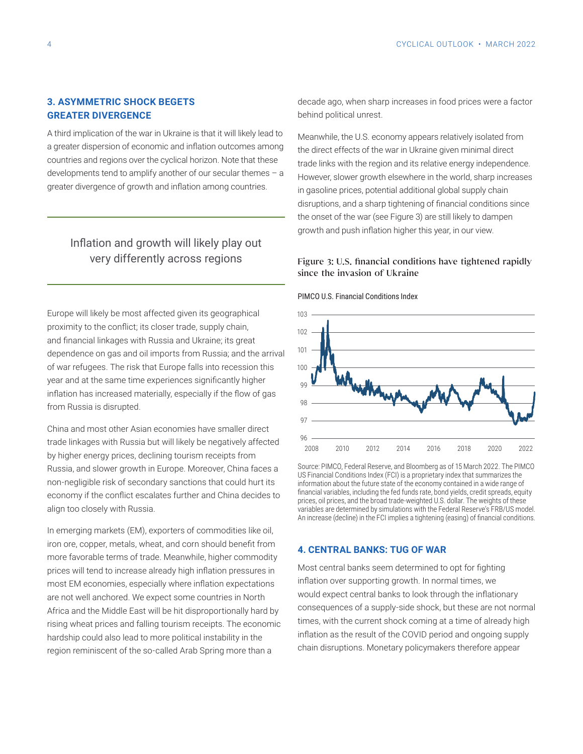### **3. ASYMMETRIC SHOCK BEGETS GREATER DIVERGENCE**

A third implication of the war in Ukraine is that it will likely lead to a greater dispersion of economic and inflation outcomes among countries and regions over the cyclical horizon. Note that these developments tend to amplify another of our secular themes – a greater divergence of growth and inflation among countries.

# Inflation and growth will likely play out very differently across regions

Europe will likely be most affected given its geographical proximity to the conflict; its closer trade, supply chain, and financial linkages with Russia and Ukraine; its great dependence on gas and oil imports from Russia; and the arrival of war refugees. The risk that Europe falls into recession this year and at the same time experiences significantly higher inflation has increased materially, especially if the flow of gas from Russia is disrupted.

China and most other Asian economies have smaller direct trade linkages with Russia but will likely be negatively affected by higher energy prices, declining tourism receipts from Russia, and slower growth in Europe. Moreover, China faces a non-negligible risk of secondary sanctions that could hurt its economy if the conflict escalates further and China decides to align too closely with Russia.

In emerging markets (EM), exporters of commodities like oil, iron ore, copper, metals, wheat, and corn should benefit from more favorable terms of trade. Meanwhile, higher commodity prices will tend to increase already high inflation pressures in most EM economies, especially where inflation expectations are not well anchored. We expect some countries in North Africa and the Middle East will be hit disproportionally hard by rising wheat prices and falling tourism receipts. The economic hardship could also lead to more political instability in the region reminiscent of the so-called Arab Spring more than a

decade ago, when sharp increases in food prices were a factor behind political unrest.

Meanwhile, the U.S. economy appears relatively isolated from the direct effects of the war in Ukraine given minimal direct trade links with the region and its relative energy independence. However, slower growth elsewhere in the world, sharp increases in gasoline prices, potential additional global supply chain disruptions, and a sharp tightening of financial conditions since the onset of the war (see Figure 3) are still likely to dampen growth and push inflation higher this year, in our view.

#### Figure 3: U.S. financial conditions have tightened rapidly since the invasion of Ukraine

#### PIMCO U.S. Financial Conditions Index



Source: PIMCO, Federal Reserve, and Bloomberg as of 15 March 2022. The PIMCO US Financial Conditions Index (FCI) is a proprietary index that summarizes the information about the future state of the economy contained in a wide range of financial variables, including the fed funds rate, bond yields, credit spreads, equity prices, oil prices, and the broad trade-weighted U.S. dollar. The weights of these variables are determined by simulations with the Federal Reserve's FRB/US model. An increase (decline) in the FCI implies a tightening (easing) of financial conditions.

#### **4. CENTRAL BANKS: TUG OF WAR**

Most central banks seem determined to opt for fighting inflation over supporting growth. In normal times, we would expect central banks to look through the inflationary consequences of a supply-side shock, but these are not normal times, with the current shock coming at a time of already high inflation as the result of the COVID period and ongoing supply chain disruptions. Monetary policymakers therefore appear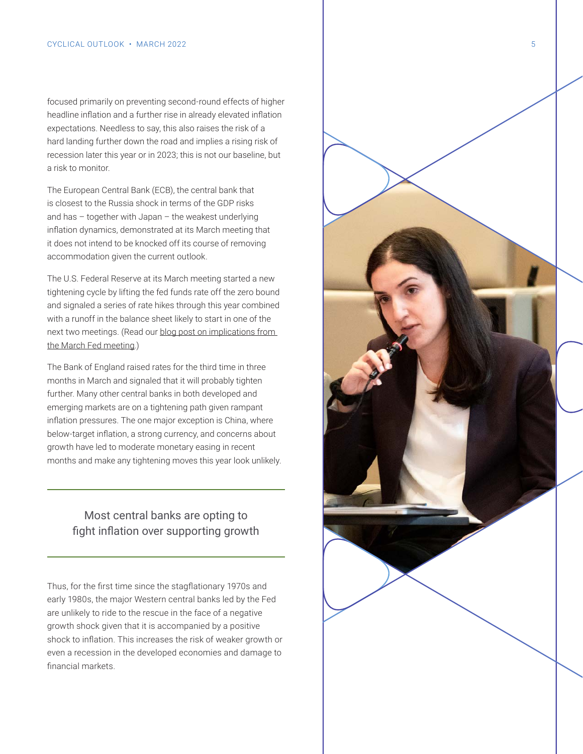focused primarily on preventing second-round effects of higher headline inflation and a further rise in already elevated inflation expectations. Needless to say, this also raises the risk of a hard landing further down the road and implies a rising risk of recession later this year or in 2023; this is not our baseline, but a risk to monitor.

The European Central Bank (ECB), the central bank that is closest to the Russia shock in terms of the GDP risks and has – together with Japan – the weakest underlying inflation dynamics, demonstrated at its March meeting that it does not intend to be knocked off its course of removing accommodation given the current outlook.

The U.S. Federal Reserve at its March meeting started a new tightening cycle by lifting the fed funds rate off the zero bound and signaled a series of rate hikes through this year combined with a runoff in the balance sheet likely to start in one of the next two meetings. (Read our blog post on implications from the March Fed meeting.)

The Bank of England raised rates for the third time in three months in March and signaled that it will probably tighten further. Many other central banks in both developed and emerging markets are on a tightening path given rampant inflation pressures. The one major exception is China, where below-target inflation, a strong currency, and concerns about growth have led to moderate monetary easing in recent months and make any tightening moves this year look unlikely.

## Most central banks are opting to fight inflation over supporting growth

Thus, for the first time since the stagflationary 1970s and early 1980s, the major Western central banks led by the Fed are unlikely to ride to the rescue in the face of a negative growth shock given that it is accompanied by a positive shock to inflation. This increases the risk of weaker growth or even a recession in the developed economies and damage to financial markets.

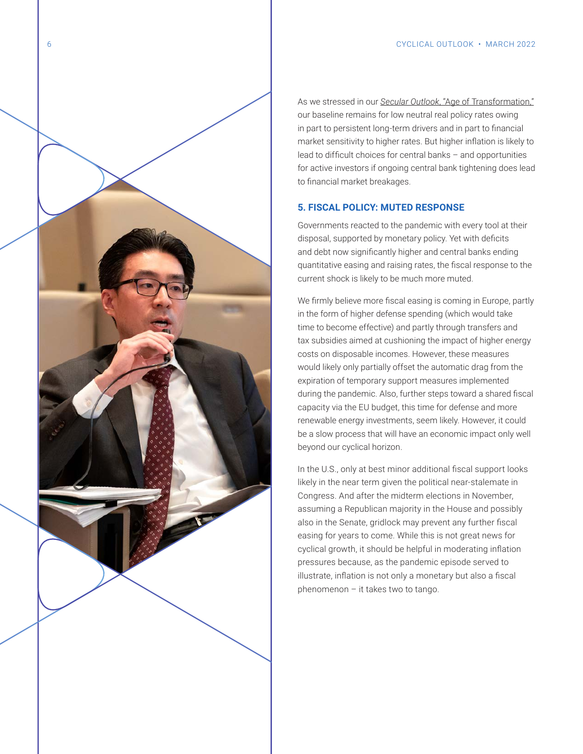

As we stressed in our *Secular Outlook*, "Age of Transformation," our baseline remains for low neutral real policy rates owing in part to persistent long-term drivers and in part to financial market sensitivity to higher rates. But higher inflation is likely to lead to difficult choices for central banks – and opportunities for active investors if ongoing central bank tightening does lead to financial market breakages.

#### **5. FISCAL POLICY: MUTED RESPONSE**

Governments reacted to the pandemic with every tool at their disposal, supported by monetary policy. Yet with deficits and debt now significantly higher and central banks ending quantitative easing and raising rates, the fiscal response to the current shock is likely to be much more muted.

We firmly believe more fiscal easing is coming in Europe, partly in the form of higher defense spending (which would take time to become effective) and partly through transfers and tax subsidies aimed at cushioning the impact of higher energy costs on disposable incomes. However, these measures would likely only partially offset the automatic drag from the expiration of temporary support measures implemented during the pandemic. Also, further steps toward a shared fiscal capacity via the EU budget, this time for defense and more renewable energy investments, seem likely. However, it could be a slow process that will have an economic impact only well beyond our cyclical horizon.

In the U.S., only at best minor additional fiscal support looks likely in the near term given the political near-stalemate in Congress. And after the midterm elections in November, assuming a Republican majority in the House and possibly also in the Senate, gridlock may prevent any further fiscal easing for years to come. While this is not great news for cyclical growth, it should be helpful in moderating inflation pressures because, as the pandemic episode served to illustrate, inflation is not only a monetary but also a fiscal phenomenon – it takes two to tango.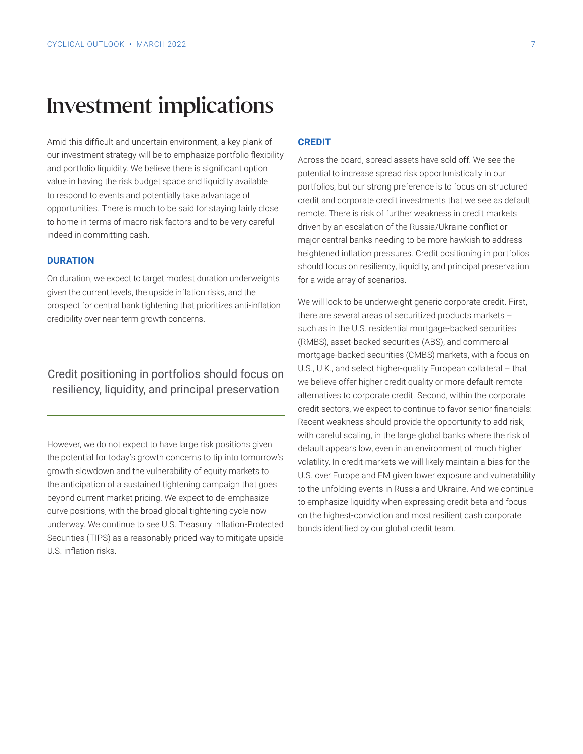# Investment implications

Amid this difficult and uncertain environment, a key plank of our investment strategy will be to emphasize portfolio flexibility and portfolio liquidity. We believe there is significant option value in having the risk budget space and liquidity available to respond to events and potentially take advantage of opportunities. There is much to be said for staying fairly close to home in terms of macro risk factors and to be very careful indeed in committing cash.

#### **DURATION**

On duration, we expect to target modest duration underweights given the current levels, the upside inflation risks, and the prospect for central bank tightening that prioritizes anti-inflation credibility over near-term growth concerns.

## Credit positioning in portfolios should focus on resiliency, liquidity, and principal preservation

However, we do not expect to have large risk positions given the potential for today's growth concerns to tip into tomorrow's growth slowdown and the vulnerability of equity markets to the anticipation of a sustained tightening campaign that goes beyond current market pricing. We expect to de-emphasize curve positions, with the broad global tightening cycle now underway. We continue to see U.S. Treasury Inflation-Protected Securities (TIPS) as a reasonably priced way to mitigate upside U.S. inflation risks.

#### **CREDIT**

Across the board, spread assets have sold off. We see the potential to increase spread risk opportunistically in our portfolios, but our strong preference is to focus on structured credit and corporate credit investments that we see as default remote. There is risk of further weakness in credit markets driven by an escalation of the Russia/Ukraine conflict or major central banks needing to be more hawkish to address heightened inflation pressures. Credit positioning in portfolios should focus on resiliency, liquidity, and principal preservation for a wide array of scenarios.

We will look to be underweight generic corporate credit. First, there are several areas of securitized products markets – such as in the U.S. residential mortgage-backed securities (RMBS), asset-backed securities (ABS), and commercial mortgage-backed securities (CMBS) markets, with a focus on U.S., U.K., and select higher-quality European collateral – that we believe offer higher credit quality or more default-remote alternatives to corporate credit. Second, within the corporate credit sectors, we expect to continue to favor senior financials: Recent weakness should provide the opportunity to add risk, with careful scaling, in the large global banks where the risk of default appears low, even in an environment of much higher volatility. In credit markets we will likely maintain a bias for the U.S. over Europe and EM given lower exposure and vulnerability to the unfolding events in Russia and Ukraine. And we continue to emphasize liquidity when expressing credit beta and focus on the highest-conviction and most resilient cash corporate bonds identified by our global credit team.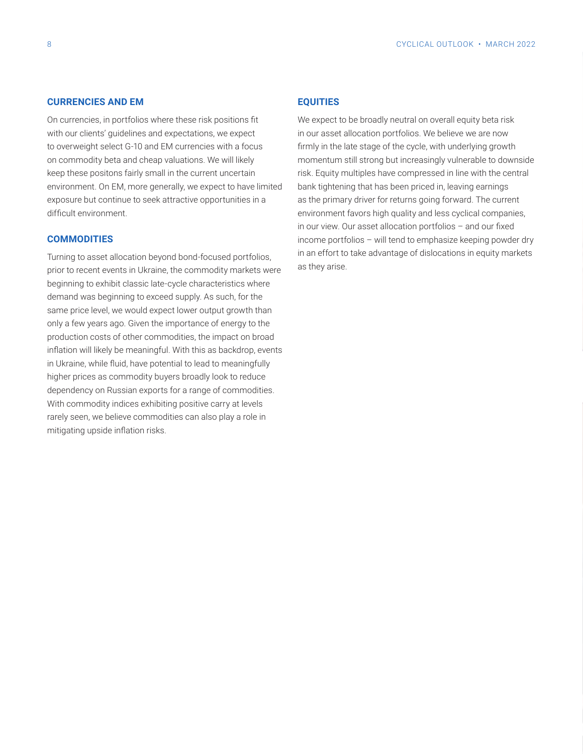#### **CURRENCIES AND EM**

On currencies, in portfolios where these risk positions fit with our clients' guidelines and expectations, we expect to overweight select G-10 and EM currencies with a focus on commodity beta and cheap valuations. We will likely keep these positons fairly small in the current uncertain environment. On EM, more generally, we expect to have limited exposure but continue to seek attractive opportunities in a difficult environment.

#### **COMMODITIES**

Turning to asset allocation beyond bond-focused portfolios, prior to recent events in Ukraine, the commodity markets were beginning to exhibit classic late-cycle characteristics where demand was beginning to exceed supply. As such, for the same price level, we would expect lower output growth than only a few years ago. Given the importance of energy to the production costs of other commodities, the impact on broad inflation will likely be meaningful. With this as backdrop, events in Ukraine, while fluid, have potential to lead to meaningfully higher prices as commodity buyers broadly look to reduce dependency on Russian exports for a range of commodities. With commodity indices exhibiting positive carry at levels rarely seen, we believe commodities can also play a role in mitigating upside inflation risks.

#### **EQUITIES**

We expect to be broadly neutral on overall equity beta risk in our asset allocation portfolios. We believe we are now firmly in the late stage of the cycle, with underlying growth momentum still strong but increasingly vulnerable to downside risk. Equity multiples have compressed in line with the central bank tightening that has been priced in, leaving earnings as the primary driver for returns going forward. The current environment favors high quality and less cyclical companies, in our view. Our asset allocation portfolios – and our fixed income portfolios – will tend to emphasize keeping powder dry in an effort to take advantage of dislocations in equity markets as they arise.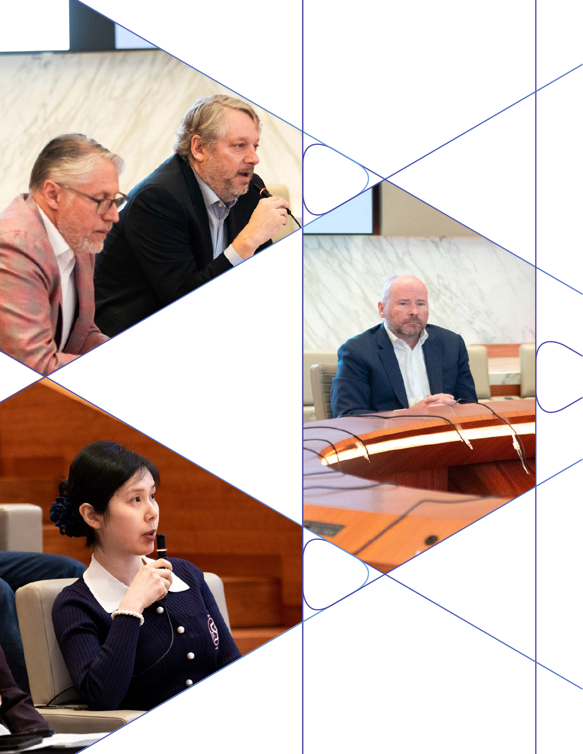